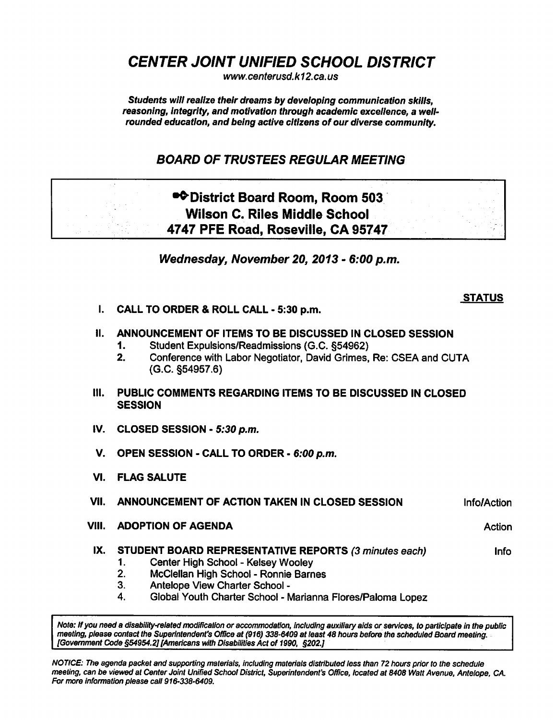CENTER JOINT UNIFIED SCHOOL DISTRICT

www.centerusd.k12.ca.us

Students will realize their dreams by developing communication skills, reasoning, integrity, and motivation through academic excellence, a wellrounded education, and being active citizens of our diverse community.

# BOARD OF TRUSTEES REGULAR MEETING

# •**•**District Board Room, Room 503 Wilson C. Riles Middle School 4747 PFE Road, Roseville, CA 95747

Wednesday, November 20, 2013 - 6:00 p.m.

## I. CALL TO ORDER & ROLL CALL - 5:30 p.m.

# II. ANNOUNCEMENT OF ITEMS TO BE DISCUSSED IN CLOSED SESSION

- 1. Student Expulsions/Readmissions (G.C. §54962)
- 2. Conference with Labor Negotiator, David Grimes, Re: CSEA and CUTA (G.C. §54957.6)
- III. PUBLIC COMMENTS REGARDING ITEMS TO BE DISCUSSED IN CLOSED **SESSION**
- IV. CLOSED SESSION  $5:30$  p.m.
- V. OPEN SESSION CALL TO ORDER 6:00 p.m.
- VI. FLAG SALUTE

### VII. ANNOUNCEMENT OF ACTION TAKEN IN CLOSED SESSION Info/Action

- VIII. ADOPTION OF AGENDA Action Action Action
- IX. STUDENT BOARD REPRESENTATIVE REPORTS (3 minutes each) linfo
	- 1. Center High School Kelsey Wooley
	- 2. McClellan High School Ronnie Barnes
	- 3. Antelope View Charter School
	- 4. Global Youth Charter School Marianna Flores/Paloma Lopez

Note: If you need a disability-related modification or accommodation, including auxiliary aids or services, to participate in the public meeting, please contact the Superintendent's Office at (916) 338-6409 at least 48 hours before the scheduled Board meeting. [Government Code §54954.2] [Americans with Disabilities Act of 1990, §202.]

NOTICE: The agenda packet and supporting materials, including materials distributed less than 72 hours prior to the schedule meeting, can be viewed at Center Joint Unified School District, Superintendent's Office, located at 8408 Watt Avenue, Antelope, CA. For more information please call 916-338-6409.

**STATUS** 

- -
	-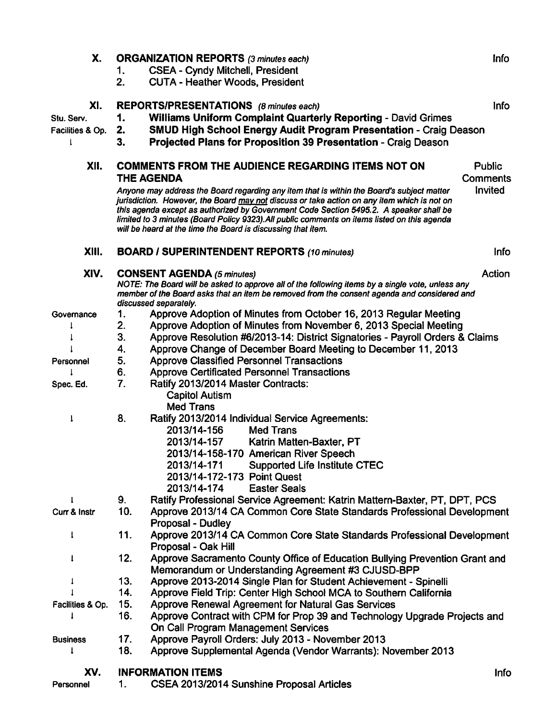| Х.                                         | 1.<br>2.                                                                                                                                                                                                                                                                | <b>ORGANIZATION REPORTS (3 minutes each)</b><br><b>CSEA - Cyndy Mitchell, President</b><br><b>CUTA - Heather Woods, President</b>                                                                                                                                                                                                                                                                                                                  | Info                       |  |  |  |  |  |
|--------------------------------------------|-------------------------------------------------------------------------------------------------------------------------------------------------------------------------------------------------------------------------------------------------------------------------|----------------------------------------------------------------------------------------------------------------------------------------------------------------------------------------------------------------------------------------------------------------------------------------------------------------------------------------------------------------------------------------------------------------------------------------------------|----------------------------|--|--|--|--|--|
| XI.<br>Stu. Serv.<br>Facilities & Op.<br>ŧ | 1.<br>2.<br>3.                                                                                                                                                                                                                                                          | REPORTS/PRESENTATIONS (8 minutes each)<br><b>Info</b><br><b>Williams Uniform Complaint Quarterly Reporting - David Grimes</b><br><b>SMUD High School Energy Audit Program Presentation - Craig Deason</b><br>Projected Plans for Proposition 39 Presentation - Craig Deason                                                                                                                                                                        |                            |  |  |  |  |  |
| XII.                                       | <b>COMMENTS FROM THE AUDIENCE REGARDING ITEMS NOT ON</b><br><b>THE AGENDA</b>                                                                                                                                                                                           |                                                                                                                                                                                                                                                                                                                                                                                                                                                    |                            |  |  |  |  |  |
|                                            |                                                                                                                                                                                                                                                                         | Anyone may address the Board regarding any item that is within the Board's subject matter<br>jurisdiction. However, the Board may not discuss or take action on any item which is not on<br>this agenda except as authorized by Government Code Section 5495.2. A speaker shall be<br>limited to 3 minutes (Board Policy 9323). All public comments on items listed on this agenda<br>will be heard at the time the Board is discussing that item. | <b>Comments</b><br>Invited |  |  |  |  |  |
| XIII.                                      |                                                                                                                                                                                                                                                                         | <b>BOARD / SUPERINTENDENT REPORTS (10 minutes)</b>                                                                                                                                                                                                                                                                                                                                                                                                 |                            |  |  |  |  |  |
| XIV.                                       | Action<br><b>CONSENT AGENDA (5 minutes)</b><br>NOTE: The Board will be asked to approve all of the following items by a single vote, unless any<br>member of the Board asks that an item be removed from the consent agenda and considered and<br>discussed separately. |                                                                                                                                                                                                                                                                                                                                                                                                                                                    |                            |  |  |  |  |  |
| Governance                                 | 1.                                                                                                                                                                                                                                                                      | Approve Adoption of Minutes from October 16, 2013 Regular Meeting                                                                                                                                                                                                                                                                                                                                                                                  |                            |  |  |  |  |  |
|                                            | 2.                                                                                                                                                                                                                                                                      | Approve Adoption of Minutes from November 6, 2013 Special Meeting                                                                                                                                                                                                                                                                                                                                                                                  |                            |  |  |  |  |  |
|                                            | 3.                                                                                                                                                                                                                                                                      | Approve Resolution #6/2013-14: District Signatories - Payroll Orders & Claims                                                                                                                                                                                                                                                                                                                                                                      |                            |  |  |  |  |  |
|                                            | 4.                                                                                                                                                                                                                                                                      | Approve Change of December Board Meeting to December 11, 2013                                                                                                                                                                                                                                                                                                                                                                                      |                            |  |  |  |  |  |
| Personnel                                  | 5.                                                                                                                                                                                                                                                                      | <b>Approve Classified Personnel Transactions</b>                                                                                                                                                                                                                                                                                                                                                                                                   |                            |  |  |  |  |  |
|                                            | 6.                                                                                                                                                                                                                                                                      |                                                                                                                                                                                                                                                                                                                                                                                                                                                    |                            |  |  |  |  |  |
|                                            |                                                                                                                                                                                                                                                                         | <b>Approve Certificated Personnel Transactions</b>                                                                                                                                                                                                                                                                                                                                                                                                 |                            |  |  |  |  |  |
| Spec. Ed.                                  | 7.                                                                                                                                                                                                                                                                      | Ratify 2013/2014 Master Contracts:<br><b>Capitol Autism</b><br><b>Med Trans</b>                                                                                                                                                                                                                                                                                                                                                                    |                            |  |  |  |  |  |
| I                                          | 8.                                                                                                                                                                                                                                                                      | Ratify 2013/2014 Individual Service Agreements:<br>2013/14-156<br><b>Med Trans</b><br>2013/14-157<br>Katrin Matten-Baxter, PT<br>2013/14-158-170 American River Speech<br>2013/14-171<br><b>Supported Life Institute CTEC</b><br>2013/14-172-173 Point Quest<br>2013/14-174<br><b>Easter Seals</b>                                                                                                                                                 |                            |  |  |  |  |  |
| 1                                          | 9.                                                                                                                                                                                                                                                                      | Ratify Professional Service Agreement: Katrin Mattern-Baxter, PT, DPT, PCS                                                                                                                                                                                                                                                                                                                                                                         |                            |  |  |  |  |  |
| Curr & Instr                               | 10.                                                                                                                                                                                                                                                                     | Approve 2013/14 CA Common Core State Standards Professional Development<br>Proposal - Dudley                                                                                                                                                                                                                                                                                                                                                       |                            |  |  |  |  |  |
| Ţ.                                         | 11.                                                                                                                                                                                                                                                                     | Approve 2013/14 CA Common Core State Standards Professional Development<br>Proposal - Oak Hill                                                                                                                                                                                                                                                                                                                                                     |                            |  |  |  |  |  |
| 1                                          | 12.                                                                                                                                                                                                                                                                     | Approve Sacramento County Office of Education Bullying Prevention Grant and<br>Memorandum or Understanding Agreement #3 CJUSD-BPP                                                                                                                                                                                                                                                                                                                  |                            |  |  |  |  |  |
| $\downarrow$                               | 13.                                                                                                                                                                                                                                                                     | Approve 2013-2014 Single Plan for Student Achievement - Spinelli                                                                                                                                                                                                                                                                                                                                                                                   |                            |  |  |  |  |  |
|                                            | 14.                                                                                                                                                                                                                                                                     | Approve Field Trip: Center High School MCA to Southern California                                                                                                                                                                                                                                                                                                                                                                                  |                            |  |  |  |  |  |
| Facilities & Op.                           | 15.                                                                                                                                                                                                                                                                     | Approve Renewal Agreement for Natural Gas Services                                                                                                                                                                                                                                                                                                                                                                                                 |                            |  |  |  |  |  |
|                                            | 16.                                                                                                                                                                                                                                                                     | Approve Contract with CPM for Prop 39 and Technology Upgrade Projects and<br>On Call Program Management Services                                                                                                                                                                                                                                                                                                                                   |                            |  |  |  |  |  |
|                                            | 17.                                                                                                                                                                                                                                                                     | Approve Payroll Orders: July 2013 - November 2013                                                                                                                                                                                                                                                                                                                                                                                                  |                            |  |  |  |  |  |
| <b>Business</b><br>I                       | 18.                                                                                                                                                                                                                                                                     | Approve Supplemental Agenda (Vendor Warrants): November 2013                                                                                                                                                                                                                                                                                                                                                                                       |                            |  |  |  |  |  |
| XV.                                        |                                                                                                                                                                                                                                                                         | <b>INFORMATION ITEMS</b>                                                                                                                                                                                                                                                                                                                                                                                                                           | Info                       |  |  |  |  |  |
| Personnel                                  | 1.                                                                                                                                                                                                                                                                      | CSEA 2013/2014 Sunshine Proposal Articles                                                                                                                                                                                                                                                                                                                                                                                                          |                            |  |  |  |  |  |
|                                            |                                                                                                                                                                                                                                                                         |                                                                                                                                                                                                                                                                                                                                                                                                                                                    |                            |  |  |  |  |  |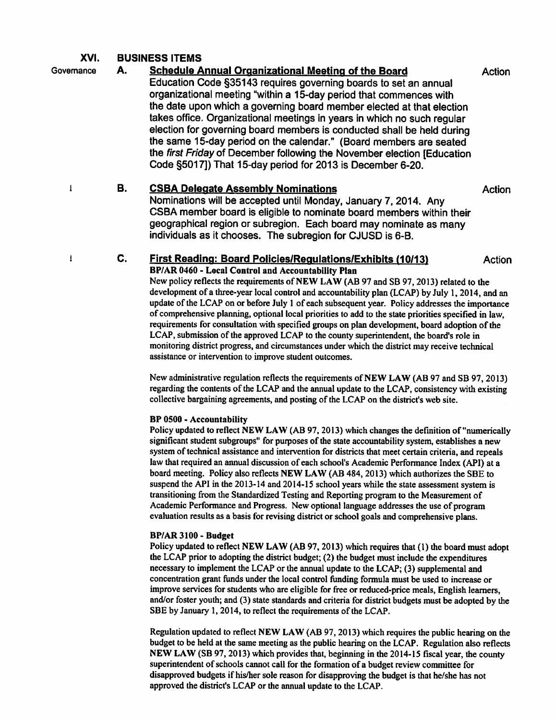## XVI. BUSINESS ITEMS

 $\mathbf{I}$ 

 $\mathbf{I}$ 

# Governance A. Schedule Annual Organizational Meeting of the Board Action

Education Code §35143 requires governing boards to set an annual organizational meeting "within a 15-day period that commences with the date upon which a governing board member elected at that election takes office. Organizational meetings in years in which no such regular election for governing board members is conducted shall be held during the same 15-day period on the calendar." (Board members are seated the first Friday of December following the November election [Education Code §5017]) That 15-day period for 2013 is December 6-20.

## B. CSBA Delegate Assembly Nominations **Example 2018** Action

Nominations will be accepted until Monday, January 7, 2014. Any CSBA member board is eligible to nominate board members within their geographical region or subregion. Each board may nominate as many individuals as it chooses. The subregion for CJUSD is 6-B.

### C. First Reading: Board Policies/Regulations/Exhibits (10/13) Action BP/AR 0460 Local Control and Accountability Plan

New policy reflects the requirements of NEW LAW (AB <sup>97</sup> and SB 97,2013) related to the development of a three-year local control and accountability plan (LCAP) by July 1, 2014, and an update of the LCAP on or before July 1 of each subsequent year. Policy addresses the importance of comprehensive planning, optional local priorities to add to the state priorities specified in law, requirements for consultation with specified groups on plan development, board adoption of the LCAP, submission of the approved LCAP to the county superintendent, the board's role in monitoring district progress, and circumstances under which the district may receive technical assistance or intervention to improve student outcomes.

New administrative regulation reflects the requirements of NEW LAW (AB <sup>97</sup> and SB 97, 2013) regarding the contents of the LCAP and the annual update to the LCAP, consistency with existing collective bargaining agreements, and posting of the LCAP on the district's web site.

#### BP 0500 Accountability

Policy updated to reflect NEW LAW (AB 97, 2013) which changes the definition of "numerically significant student subgroups" for purposes of the state accountability system, establishes a new system of technical assistance and intervention for districts that meet certain criteria, and repeals law that required an annual discussion of each school's Academic Performance Index (API) at a board meeting. Policy also reflects NEW LAW (AB 484,2013) which authorizes the SBE to suspend the API in the 2013-14 and 2014-15 school years while the state assessment system is transitioning from the Standardized Testing and Reporting program to the Measurement of Academic Performance and Progress. New optional language addresses the use of program evaluation results as basis for revising district or school goals and comprehensive plans.

### BP/AR 3100 -Budget

Policy updated to reflect NEW LAW (AB 97, 2013) which requires that (1) the board must adopt the LCAP prior to adopting the district budget; (2) the budget must include the expenditures necessary to implement the LCAP or the annual update to the LCAP; (3) supplemental and concentration grant funds under the local control funding formula must be used to increase or improve services for students who are eligible for free or reduced-price meals, English learners, and/or foster youth; and (3) state standards and criteria for district budgets must be adopted by the SBE by January 1, 2014, to reflect the requirements of the LCAP.

Regulation updated to reflect NEW LAW (AB 97, 2013) which requires the public hearing on the budget to be held at the same meeting as the public hearing on the LCAP. Regulation also reflects NEW LAW (SB 97,2013) which provides that, beginning in the 2014-15 fiscal year, the county superintendent of schools cannot call for the formation of a budget review committee for disapproved budgets if his/her sole reason for disapproving the budget is that he/she has not approved the district's LCAP or the annual update to the LCAP.